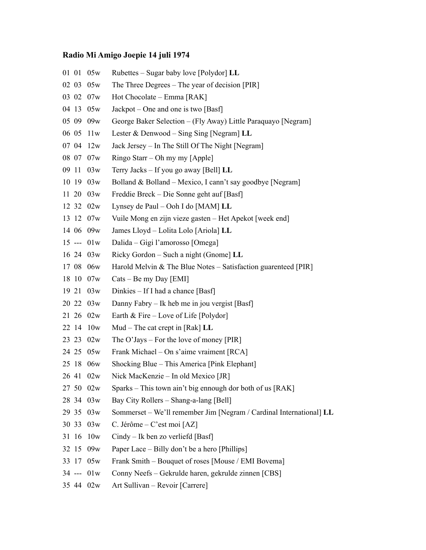## **Radio Mi Amigo Joepie 14 juli 1974**

|       | 01 01 05w      | Rubettes – Sugar baby love [Polydor] LL                             |
|-------|----------------|---------------------------------------------------------------------|
| 02 03 | 05w            | The Three Degrees – The year of decision [PIR]                      |
|       | 03 02 07w      | Hot Chocolate – Emma [RAK]                                          |
| 04 13 | 05w            | Jackpot – One and one is two [Basf]                                 |
|       | 05 09 09w      | George Baker Selection – (Fly Away) Little Paraquayo [Negram]       |
| 06 05 | 11w            | Lester & Denwood – Sing Sing [Negram] $LL$                          |
| 07 04 | 12w            | Jack Jersey - In The Still Of The Night [Negram]                    |
|       | 08 07 07w      | Ringo Starr - Oh my my [Apple]                                      |
| 09 11 | 03w            | Terry Jacks – If you go away [Bell] LL                              |
|       | 10 19 03w      | Bolland & Bolland – Mexico, I cann't say goodbye [Negram]           |
|       | 11 20 03w      | Freddie Breck – Die Sonne geht auf [Basf]                           |
|       | 12 32 02w      | Lynsey de Paul – Ooh I do [MAM] LL                                  |
|       | 13 12 07w      | Vuile Mong en zijn vieze gasten – Het Apekot [week end]             |
|       | 14 06 09w      | James Lloyd - Lolita Lolo [Ariola] LL                               |
|       | $15$ --- $01w$ | Dalida – Gigi l'amorosso [Omega]                                    |
|       | 16 24 03w      | Ricky Gordon – Such a night (Gnome] LL                              |
|       | 17 08 06w      | Harold Melvin $&$ The Blue Notes – Satisfaction guarenteed [PIR]    |
|       | 18 10 07w      | $\text{Cats} - \text{Be}$ my Day [EMI]                              |
|       | 19 21 03w      | Dinkies – If I had a chance [Basf]                                  |
|       | 20 22 03w      | Danny Fabry – Ik heb me in jou vergist [Basf]                       |
|       | 21 26 02w      | Earth $&$ Fire – Love of Life [Polydor]                             |
|       | 22 14 10w      | Mud – The cat crept in [Rak] $LL$                                   |
|       | 23 23 02w      | The O'Jays – For the love of money [PIR]                            |
|       | 24 25 05w      | Frank Michael – On s'aime vraiment [RCA]                            |
|       | 25 18 06w      | Shocking Blue – This America [Pink Elephant]                        |
| 26 41 | 02w            | Nick MacKenzie - In old Mexico [JR]                                 |
|       | 27 50 02w      | Sparks – This town ain't big ennough dor both of us [RAK]           |
|       | 28 34 03w      | Bay City Rollers - Shang-a-lang [Bell]                              |
|       | 29 35 03w      | Sommerset – We'll remember Jim [Negram / Cardinal International] LL |
| 30 33 | 03w            | C. Jérôme – C'est moi [AZ]                                          |
| 31 16 | 10w            | $Cindy - Ik$ ben zo verliefd [Basf]                                 |
| 32 15 | 09w            | Paper Lace – Billy don't be a hero [Phillips]                       |
|       | 33 17 05w      | Frank Smith – Bouquet of roses [Mouse / EMI Bovema]                 |
|       | $34$ --- $01w$ | Conny Neefs - Gekrulde haren, gekrulde zinnen [CBS]                 |
|       | 35 44 02w      | Art Sullivan – Revoir [Carrere]                                     |
|       |                |                                                                     |